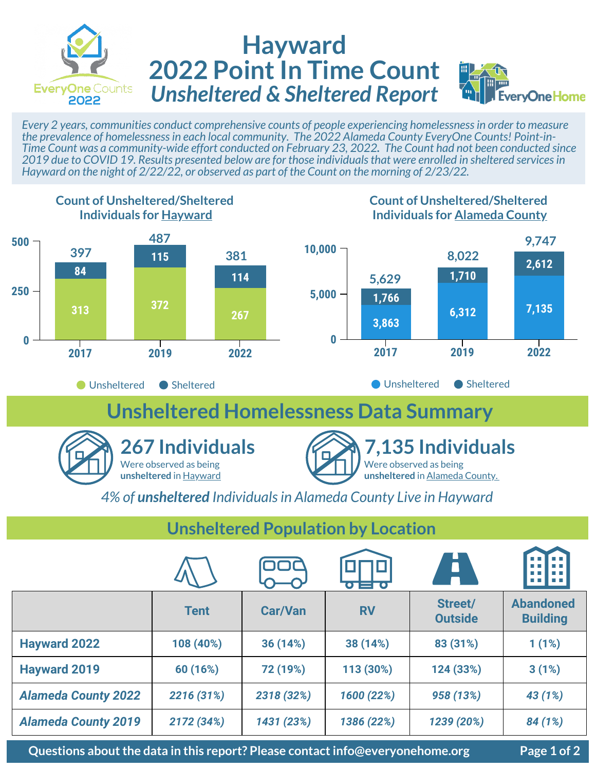

## **Hayward 2022 Point In Time Count** *Unsheltered & Sheltered Report*



*Every 2 years, communities conduct comprehensive counts of people experiencing homelessness in order to measure the prevalence of homelessness in each local community. The 2022 Alameda County EveryOne Counts! Point-in-Time Count was a community-wide effort conducted on February 23, 2022. The Count had not been conducted since 2019 due to COVID 19. Results presented below are for those individuals that were enrolled in sheltered services in Hayward on the night of 2/22/22, or observed as part of the Count on the morning of 2/23/22.* 



*4% of unsheltered Individuals in Alameda County Live in Hayward*

## **Unsheltered Population by Location**

|                            |             |                | $\overline{\mathbf{o}}$ and $\overline{\mathbf{o}}$ | Ă                         | TI T<br><b>THE REAL</b><br><b>The Contract of State</b> |
|----------------------------|-------------|----------------|-----------------------------------------------------|---------------------------|---------------------------------------------------------|
|                            | <b>Tent</b> | <b>Car/Van</b> | <b>RV</b>                                           | Street/<br><b>Outside</b> | <b>Abandoned</b><br><b>Building</b>                     |
| <b>Hayward 2022</b>        | 108 (40%)   | 36 (14%)       | 38 (14%)                                            | 83 (31%)                  | 1(1%)                                                   |
| <b>Hayward 2019</b>        | 60 (16%)    | 72 (19%)       | 113 (30%)                                           | 124 (33%)                 | 3(1%)                                                   |
| <b>Alameda County 2022</b> | 2216 (31%)  | 2318 (32%)     | 1600 (22%)                                          | 958 (13%)                 | 43 (1%)                                                 |
| <b>Alameda County 2019</b> | 2172 (34%)  | 1431 (23%)     | 1386 (22%)                                          | 1239 (20%)                | 84 (1%)                                                 |

**Questions about the data in this report? Please contact info@everyonehome.org Page 1 of 2**